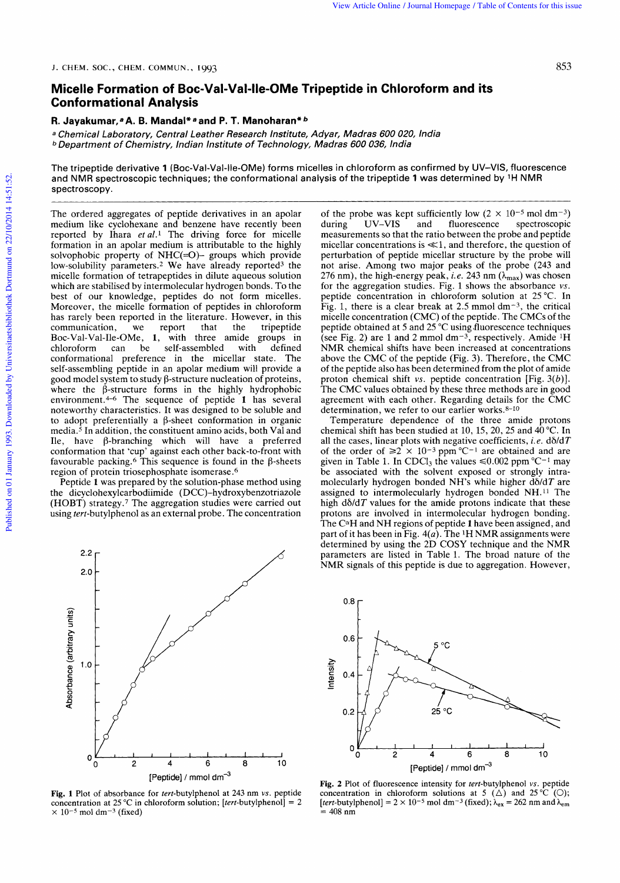## View Article Online / Journal Homepage / Table of Contents for this issue<br>J. CHEM. SOC., CHEM. COMMUN., 1993<br>**Micelle Formation of Boc-Val-Val-Ile-OMe Tripeptide in Chloroform and its Micelle Formation of Boc-Val-Val-lle-OMe Tripeptide in Chloroform and its Conformational Analysis**  Micelle Formation of Boc-Val-Val-IIe-OMe Tripeptide in Chloroform and its<br>Conformational Analysis<br>R. Jayakumar,ªA. B. Mandal\*ªand P. T. Manoharan\**ʰ*<br>ª Chemical Laboratory, Central Leather Research Institute, Adyar, Madras 853<br>**OMe Tripeptide in Chloroform and its**<br>haran\**b*<br>Institute, Adyar, Madras 600 020, India **loroform and its<br>020,** India<br>dia<br>as confirmed by UV–VIS, fluorescence

## **R. Jayakumar,**ªA. B. Mandal\*ªand P. T. Manoharan\**b*

laboratory, Central leather Research **b** Department of Chemistry, Indian Institute of Technology, Madras 600 036, India

The tripeptide derivative **1** (Boc-Val-Val-lle-OMe) forms micelles in chloroform **a** Chemical Laboratory, Central Leather Research Institute, Adyar, Madras 600 020, India<br>a Chemical Laboratory, Central Leather Research Institute, Adyar, Madras 600 020, India<br>b Department of Chemistry, Indian Institute spectroscopy.

The ordered aggregates of peptide derivatives in an apolar medium like cyclohexane and benzene have recently been reported by Ihara  $et al.$ <sup>1</sup> The driving force for micelle formation in an apolar medium is attributable to the highly solvophobic property of  $NHC(=O)$ - groups which provide low-solubility parameters.<sup>2</sup> We have already reported<sup>3</sup> the micelle formation of tetrapeptides in dilute aqueous solution which are stabilised by intermolecular hydrogen bonds. To the best of our knowledge, peptides do not form micelles. Moreover, the micelle formation of peptides in chloroform has rarely been reported in the literature. However, in this communication, we report that the tripeptide communication, we report that the tripeptide<br>Boc-Val-Val-Ile-OMe, 1, with three amide groups in chloroform can be self-assembled with defined conformational preference in the micellar state. The self-assembling peptide in an apolar medium will provide a good model system to study  $\beta$ -structure nucleation of proteins, where the  $\beta$ -structure forms in the highly hydrophobic environment.4-6 The sequence of peptide **1** has several noteworthy characteristics. It was designed to be soluble and to adopt preferentially a  $\beta$ -sheet conformation in organic media.5 In addition, the constituent amino acids, both Val and Ile, have  $\beta$ -branching which will have a preferred conformation that 'cup' against each other back-to-front with favourable packing.<sup>6</sup> This sequence is found in the  $\beta$ -sheets region of protein triosephosphate isomerase .6

Peptide **1** was prepared by the solution-phase method using the dicyclohexylcarbodiimide (DCC)-hydroxybenzotriazole (HOBT) strategy.' The aggregation studies were carried out using tert-butylphenol as an external probe. The concentration



**Fig. 1** Plot of absorbance for tert-butylphenol at 243 nm **vs.** peptide concentration at 25 °C in chloroform solution; [tert-butylphenol] = 2  $\times$  10<sup>-5</sup> mol dm<sup>-3</sup> (fixed)

low-solubility parameters.<sup>2</sup> We have already reported<sup>3</sup> the not arise. Among two major peaks of the probe (243 and which are stabilised by intermolecular hydrogen bonds. To the of form and premergy peak, *i.e.* 243 nm (of the probe was kept sufficiently low  $(2 \times 10^{-5} \text{ mol dm}^{-3})$ <br>during UV-VIS and fluorescence spectroscopic spectroscopic measurements so that the ratio between the probe and peptide micellar concentrations is  $\ll 1$ , and therefore, the question of perturbation of peptide micellar structure by the probe will not arise. Among two major peaks of the probe (243 and 276 nm), the high-energy peak, *i.e.* 243 nm **(Amax)** was chosen for the aggregation studies. Fig. 1 shows the absorbance **vs.**  peptide concentration in chloroform solution at 25 "C. In Fig. 1, there is a clear break at 2.5 mmol  $dm^{-3}$ , the critical micelle concentration (CMC) of the peptide. The CMCs of the peptide obtained at 5 and  $25^{\circ}$ C using fluorescence techniques (see Fig. 2) are 1 and **2** mmol dm-3, respectively. Amide lH NMR chemical shifts have been increased at concentrations above the CMC of the peptide (Fig. 3). Therefore, the CMC of the peptide also has been determined from the plot of amide proton chemical shift **vs.** peptide concentration [Fig. *3(b)].*  The CMC values obtained by these three methods are in good agreement with each other. Regarding details for the CMC determination, we refer to our earlier works.8-10

Temperature dependence of the three amide protons chemical shift has been studied at 10, 15, 20, 25 and  $40^{\circ}$ C. In all the cases, linear plots with negative coefficients, *i.e.*  $d\delta/dT$ of the order of  $\ge 2 \times 10^{-3}$  ppm °C<sup>-1</sup> are obtained and are given in Table 1. In CDCl<sub>3</sub> the values  $\leq 0.002$  ppm °C<sup>-1</sup> may be associated with the solvent exposed or strongly intramolecularly hydrogen bonded NH's while higher  $d\delta/dT$  are assigned to intermolecularly hydrogen bonded NH. 11 The high  $d\delta/dT$  values for the amide protons indicate that these protons are involved in intermolecular hydrogen bonding. The CaH and NH regions of peptide **1** have been assigned, and part of it has been in Fig.  $4(a)$ . The <sup>1</sup>H NMR assignments were determined by using the 2D COSY technique and the NMR parameters are listed in Table 1. The broad nature of the NMR signals of this peptide is due to aggregation. However,

 $\begin{bmatrix} 0.0 \\ 1 \end{bmatrix}$  $\lceil$ **0.6**  Intensity **0.4**  25 °C  $0.2$ 0 0 2 **4** 6 **8** 10 [Peptide]  $/$  mmol dm $^{-3}$ 

**Fig. 2** Plot of fluorescence intensity for *tert*-butylphenol *vs*. peptide concentration in chloroform solutions at 5 ( $\triangle$ ) and 25 °C ( $\bigcirc$ ); [*tert*-butylphenol] = 2 × 10<sup>-5</sup> mol dm<sup>-3</sup> (fixed);  $\lambda_{ex}$  = 262 nm and = 408 nm  $\frac{1}{2}$  **4 6 8 10**<br> **[Peptide]** / mmol dm<sup>-3</sup><br> **Persons intensity for** *tert***-butylphenol** *vs***. peptide<br>
chloroform solutions at 5 (** $\triangle$ **) and 25 °C (O);<br>**  $\frac{1}{2}$  $\frac{2}{10}$  **× 10<sup>-5</sup> mol dm<sup>-3</sup> (fixed); \lambda\_{ex} =**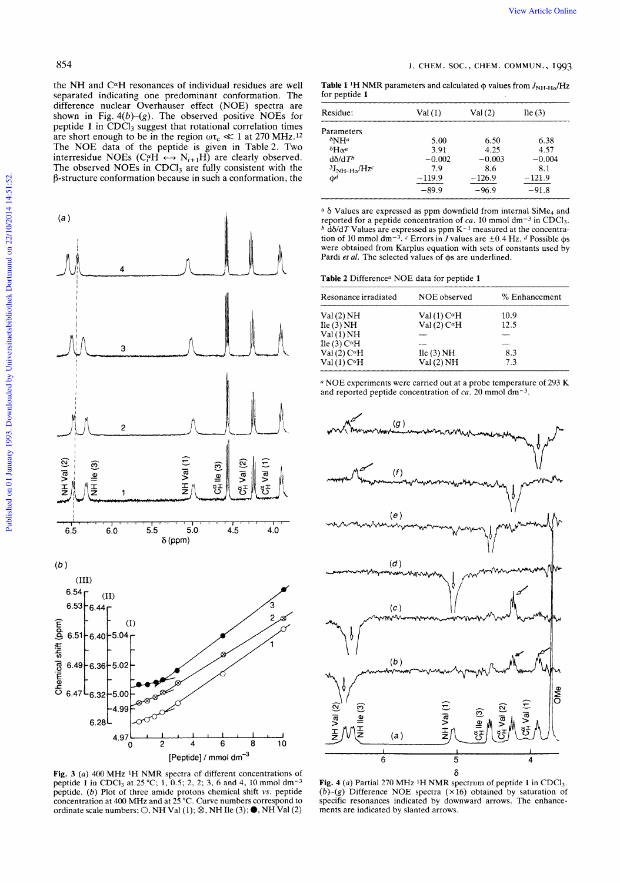View Article Online<br>
S54<br>
1. CHEM. SOC., CHEM. COMMUN., 1993<br>
1. CHEM. SOC., CHEM. COMMUN., 1993<br>
1. CHEM. SOC., CHEM. COMMUN., 1993<br>
1. CHEM. SOC., CHEM. COMMUN., 1993<br>
1. CHEM. SOC., CHEM. COMMUN., 1993<br>
1. CHEM. SOC., the NH and CaH resonances **of** individual residues are well separated indicating one predominant conformation. The difference nuclear Overhauser effect (NOE) spectra are shown in Fig.  $4(b)-(g)$ . The observed positive NOEs for peptide 1 in CDCl<sub>3</sub> suggest that rotational correlation times are short enough to be in the region  $\omega \tau_c \ll 1$  at 270 MHz.<sup>12</sup> The NOE data of the peptide is given in Table 2. Two  $\delta H\alpha^a$  3.91 4.25 4.57 4.57 The observed NOEs in CDCl<sub>3</sub> are fully consistent with the  $\beta$ -structure conformation because in such a conformation, the interresidue NOEs ( $C_f^{\alpha}H \leftrightarrow N_{i+1}H$ ) are clearly observed. d $\delta/dT^b$  -0.002 -0.003 -0.004



**Fig. 3** (a) 400 MHz <sup>1</sup>H NMR spectra of different concentrations of  $\delta$ peptide **1** in CDCl<sub>3</sub> at 25 °C; 1, 0.5; 2, 2; 3, 6 and 4, 10 mmol dm<sup>-3</sup> concentration at 400 MHz and at 25 "C. Curve numbers correspond to Fig. 3 (a) 400 MHz <sup>1</sup>H NMR spectra of different concentrations of peptide 1 in CDCl<sub>3</sub> at 25 °C; 1, 0.5; 2, 2; 3, 6 and 4, 10 mmol dm<sup>-3</sup> peptide. (b) Plot of three amide protons chemical shift vs. peptide concentration

**Table 1** <sup>1</sup>H NMR parameters and calculated  $\phi$  values from  $J_{\text{NH-H}\alpha}/\text{Hz}$ for peptide **1** 

| lifference nuclear Overhauser effect (NOE) spectra are                                                                            |          |                |                     |  |  |  |  |  |  |  |
|-----------------------------------------------------------------------------------------------------------------------------------|----------|----------------|---------------------|--|--|--|--|--|--|--|
| shown in Fig. $4(b)-(g)$ . The observed positive NOEs for                                                                         | Residue: | Val(1)         | Val $(2)$ Ile $(3)$ |  |  |  |  |  |  |  |
| peptide 1 in CDCl <sub>3</sub> suggest that rotational correlation times $\qquad$                                                 |          |                |                     |  |  |  |  |  |  |  |
| are short enough to be in the region $\omega \tau_c \ll 1$ at 270 MHz. <sup>12</sup>                                              |          | 5.00 6.50 6.38 |                     |  |  |  |  |  |  |  |
| The NOE data of the peptide is given in Table 2. Two                                                                              |          | 4.25           |                     |  |  |  |  |  |  |  |
| expressidue NOEs $(C_i^{\alpha}H \leftrightarrow N_{i+1}H)$ are clearly observed. $d\delta/dT^{\delta}$                           |          |                | $-0.003 -0.004$     |  |  |  |  |  |  |  |
| The observed NOEs in CDCl <sub>3</sub> are fully consistent with the $\frac{3J_{\text{NH-H}\alpha}{Hz}}{3J_{\text{NH-H}\alpha}T}$ |          | 86             |                     |  |  |  |  |  |  |  |
| ructure conformation because in such a conformation, the                                                                          |          | -126.9         |                     |  |  |  |  |  |  |  |
|                                                                                                                                   |          |                | $-96.9$ $-91.8$     |  |  |  |  |  |  |  |
|                                                                                                                                   |          |                |                     |  |  |  |  |  |  |  |

a  $\delta$  Values are expressed as ppm downfield from internal SiMe<sub>4</sub> and tion reported  $b$   $d\delta/dT$ of 10 Values for mmol dm-3. a peptide are expressed as ppm concentration **<sup>C</sup>**Errors in *J* values of  $K^{-1}$ ca. 10 mmol<br><sup>-1</sup> measured are 10 mmol  $\pm0.4$  Hz. at the concentra $dm^{-3}$ *d* Possible in  $CDCl<sub>3</sub>$ .  $\phi$ s were obtained from Karplus equation with sets of constants used by Pardi *et al.* The selected values of  $\phi$ s are underlined.

**Table 2** Differencea NOE data for peptide **1** 

| Resonance irradiated  | NOE observed      | % Enhancement |  |  |  |  |
|-----------------------|-------------------|---------------|--|--|--|--|
| Val(2)NH              | $Val(1) C\alphaH$ | 10.9          |  |  |  |  |
| $\text{He}$ (3) NH    | $Val(2) C\alphaH$ | 12.5          |  |  |  |  |
| Val(1)NH              |                   |               |  |  |  |  |
| Ile (3) $C^{\alpha}H$ |                   |               |  |  |  |  |
| Val (2) $C^{\alpha}H$ | Ile (3) NH        | 8.3           |  |  |  |  |
| $Val(1) C\alphaH$     | Val(2)NH          | 7.3           |  |  |  |  |

NOE experiments were carried out at a probe temperature of 293 K and reported peptide concentration of  $ca$ . 20 mmol dm<sup>-3</sup>.



**Fig. 4** (a) Partial 270 MHz **1H** NMR spectrum of peptide **1** in CDC13. *(b)-(g)* Difference NOE spectra (x16) obtained by saturation of specific resonances indicated by downward arrows. The enhancements are indicated by slanted arrows.